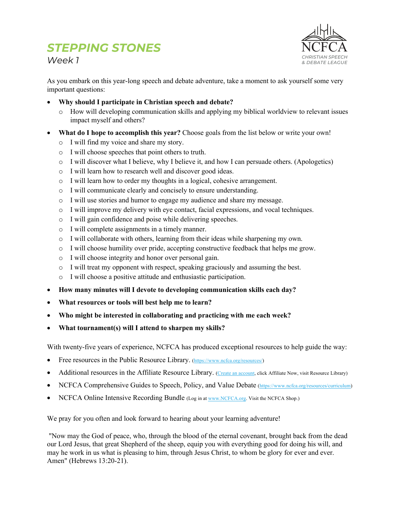*Week 1*



As you embark on this year-long speech and debate adventure, take a moment to ask yourself some very important questions:

- **Why should I participate in Christian speech and debate?**
	- o How will developing communication skills and applying my biblical worldview to relevant issues impact myself and others?
- **What do I hope to accomplish this year?** Choose goals from the list below or write your own!
	- o I will find my voice and share my story.
	- o I will choose speeches that point others to truth.
	- o I will discover what I believe, why I believe it, and how I can persuade others. (Apologetics)
	- o I will learn how to research well and discover good ideas.
	- o I will learn how to order my thoughts in a logical, cohesive arrangement.
	- o I will communicate clearly and concisely to ensure understanding.
	- o I will use stories and humor to engage my audience and share my message.
	- o I will improve my delivery with eye contact, facial expressions, and vocal techniques.
	- o I will gain confidence and poise while delivering speeches.
	- o I will complete assignments in a timely manner.
	- o I will collaborate with others, learning from their ideas while sharpening my own.
	- o I will choose humility over pride, accepting constructive feedback that helps me grow.
	- o I will choose integrity and honor over personal gain.
	- $\circ$  I will treat my opponent with respect, speaking graciously and assuming the best.
	- o I will choose a positive attitude and enthusiastic participation.
- **How many minutes will I devote to developing communication skills each day?**
- **What resources or tools will best help me to learn?**
- **Who might be interested in collaborating and practicing with me each week?**
- **What tournament(s) will I attend to sharpen my skills?**

With twenty-five years of experience, NCFCA has produced exceptional resources to help guide the way:

- Free resources in the Public Resource Library. (https://www.ncfca.org/resources/)
- Additional resources in the Affiliate Resource Library. (Create an account, click Affiliate Now, visit Resource Library)
- NCFCA Comprehensive Guides to Speech, Policy, and Value Debate (https://www.ncfca.org/resources/curriculum)
- NCFCA Online Intensive Recording Bundle (Log in at www.NCFCA.org. Visit the NCFCA Shop.)

We pray for you often and look forward to hearing about your learning adventure!

"Now may the God of peace, who, through the blood of the eternal covenant, brought back from the dead our Lord Jesus, that great Shepherd of the sheep, equip you with everything good for doing his will, and may he work in us what is pleasing to him, through Jesus Christ, to whom be glory for ever and ever. Amen" (Hebrews 13:20-21).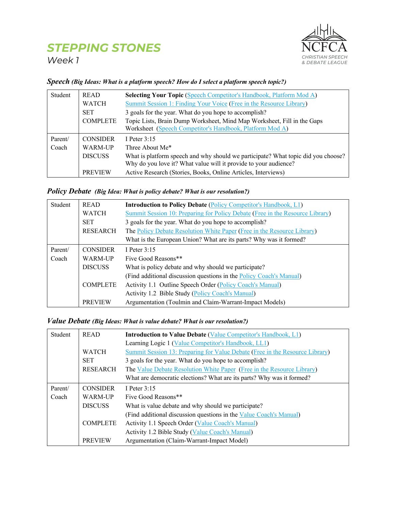*Week 1*



#### Student READ **Selecting Your Topic** (Speech Competitor's Handbook, Platform Mod A) WATCH Summit Session 1: Finding Your Voice (Free in the Resource Library) SET 3 goals for the year. What do you hope to accomplish? COMPLETE Topic Lists, Brain Dump Worksheet, Mind Map Worksheet, Fill in the Gaps Worksheet (Speech Competitor's Handbook, Platform Mod A) Parent/ Coach CONSIDER I Peter 3:15 WARM-UP Three About Me\* DISCUSS What is platform speech and why should we participate? What topic did you choose? Why do you love it? What value will it provide to your audience? PREVIEW Active Research (Stories, Books, Online Articles, Interviews)

#### *Speech (Big Ideas: What is a platform speech? How do I select a platform speech topic?)*

#### *Policy Debate (Big Idea: What is policy debate? What is our resolution?)*

| Student | <b>READ</b>     | <b>Introduction to Policy Debate (Policy Competitor's Handbook, L1)</b>       |
|---------|-----------------|-------------------------------------------------------------------------------|
|         | <b>WATCH</b>    | Summit Session 10: Preparing for Policy Debate (Free in the Resource Library) |
|         | <b>SET</b>      | 3 goals for the year. What do you hope to accomplish?                         |
|         | RESEARCH        | The Policy Debate Resolution White Paper (Free in the Resource Library)       |
|         |                 | What is the European Union? What are its parts? Why was it formed?            |
| Parent/ | <b>CONSIDER</b> | I Peter 3:15                                                                  |
| Coach   | WARM-UP         | Five Good Reasons**                                                           |
|         | <b>DISCUSS</b>  | What is policy debate and why should we participate?                          |
|         |                 | (Find additional discussion questions in the Policy Coach's Manual)           |
|         | <b>COMPLETE</b> | Activity 1.1 Outline Speech Order (Policy Coach's Manual)                     |
|         |                 | Activity 1.2 Bible Study (Policy Coach's Manual)                              |
|         | <b>PREVIEW</b>  | Argumentation (Toulmin and Claim-Warrant-Impact Models)                       |

#### *Value Debate (Big Ideas: What is value debate? What is our resolution?)*

| Student | <b>READ</b>     | <b>Introduction to Value Debate (Value Competitor's Handbook, L1)</b>        |
|---------|-----------------|------------------------------------------------------------------------------|
|         |                 | Learning Logic 1 (Value Competitor's Handbook, LL1)                          |
|         | <b>WATCH</b>    | Summit Session 13: Preparing for Value Debate (Free in the Resource Library) |
|         | <b>SET</b>      | 3 goals for the year. What do you hope to accomplish?                        |
|         | <b>RESEARCH</b> | The Value Debate Resolution White Paper (Free in the Resource Library)       |
|         |                 | What are democratic elections? What are its parts? Why was it formed?        |
| Parent/ | <b>CONSIDER</b> | I Peter $3:15$                                                               |
| Coach   | WARM-UP         | Five Good Reasons**                                                          |
|         | <b>DISCUSS</b>  | What is value debate and why should we participate?                          |
|         |                 | (Find additional discussion questions in the Value Coach's Manual)           |
|         | <b>COMPLETE</b> | Activity 1.1 Speech Order (Value Coach's Manual)                             |
|         |                 | Activity 1.2 Bible Study (Value Coach's Manual)                              |
|         | <b>PREVIEW</b>  | Argumentation (Claim-Warrant-Impact Model)                                   |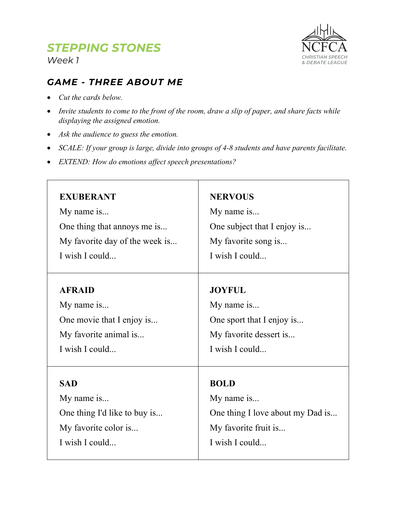*Week 1*

# NCFCA *CHRISTIAN SPEECH & DEBATE LEAGUE*

## *GAME - THREE ABOUT ME*

- *Cut the cards below.*
- *Invite students to come to the front of the room, draw a slip of paper, and share facts while displaying the assigned emotion.*
- *Ask the audience to guess the emotion.*
- *SCALE: If your group is large, divide into groups of 4-8 students and have parents facilitate.*

┱

• *EXTEND: How do emotions affect speech presentations?*

| <b>EXUBERANT</b>               | <b>NERVOUS</b>                   |
|--------------------------------|----------------------------------|
| My name is                     | My name is                       |
| One thing that annoys me is    | One subject that I enjoy is      |
| My favorite day of the week is | My favorite song is              |
| I wish I could                 | I wish I could                   |
| <b>AFRAID</b>                  | <b>JOYFUL</b>                    |
| My name is                     | My name is                       |
| One movie that I enjoy is      | One sport that I enjoy is        |
| My favorite animal is          | My favorite dessert is           |
| I wish I could                 | I wish I could                   |
| <b>SAD</b>                     | <b>BOLD</b>                      |
| My name is                     | My name is                       |
| One thing I'd like to buy is   | One thing I love about my Dad is |
| My favorite color is           | My favorite fruit is             |
| I wish I could                 | I wish I could                   |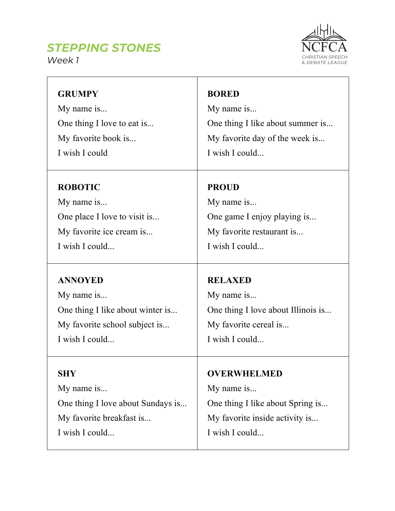*Week 1*



| <b>GRUMPY</b>                     | <b>BORED</b>                       |
|-----------------------------------|------------------------------------|
| My name is                        | My name is                         |
| One thing I love to eat is        | One thing I like about summer is   |
| My favorite book is               | My favorite day of the week is     |
| I wish I could                    | I wish I could                     |
| <b>ROBOTIC</b>                    | <b>PROUD</b>                       |
| My name is                        | My name is                         |
| One place I love to visit is      | One game I enjoy playing is        |
| My favorite ice cream is          | My favorite restaurant is          |
| I wish I could                    | I wish I could                     |
| <b>ANNOYED</b>                    | <b>RELAXED</b>                     |
| My name is                        | My name is                         |
| One thing I like about winter is  | One thing I love about Illinois is |
| My favorite school subject is     | My favorite cereal is              |
| I wish I could                    | I wish I could                     |
| SHY                               | <b>OVERWHELMED</b>                 |
| My name is                        | My name is                         |
| One thing I love about Sundays is | One thing I like about Spring is   |
| My favorite breakfast is          | My favorite inside activity is     |
| I wish I could                    | I wish I could                     |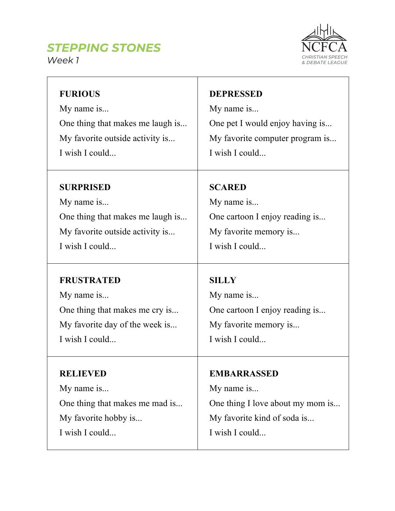



| <b>FURIOUS</b>                   | <b>DEPRESSED</b>                 |
|----------------------------------|----------------------------------|
| My name is                       | My name is                       |
| One thing that makes me laugh is | One pet I would enjoy having is  |
| My favorite outside activity is  | My favorite computer program is  |
| I wish I could                   | I wish I could                   |
| <b>SURPRISED</b>                 | <b>SCARED</b>                    |
| My name is                       | My name is                       |
| One thing that makes me laugh is | One cartoon I enjoy reading is   |
| My favorite outside activity is  | My favorite memory is            |
| I wish I could                   | I wish I could                   |
| <b>FRUSTRATED</b>                | <b>SILLY</b>                     |
| My name is                       | My name is                       |
| One thing that makes me cry is   | One cartoon I enjoy reading is   |
| My favorite day of the week is   | My favorite memory is            |
| I wish I could                   | I wish I could                   |
| <b>RELIEVED</b>                  | <b>EMBARRASSED</b>               |
| My name is                       | My name is                       |
| One thing that makes me mad is   | One thing I love about my mom is |
| My favorite hobby is             | My favorite kind of soda is      |
| I wish I could                   | I wish I could                   |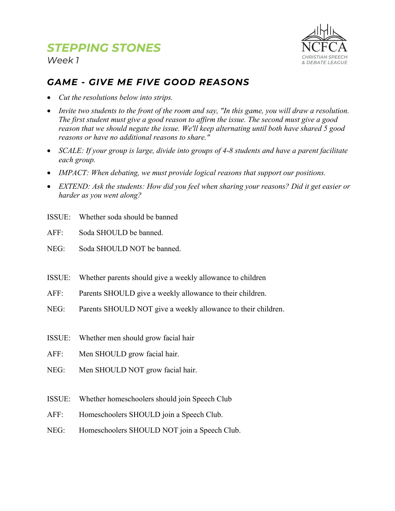

*Week 1*

## *GAME - GIVE ME FIVE GOOD REASONS*

- *Cut the resolutions below into strips.*
- *Invite two students to the front of the room and say, "In this game, you will draw a resolution. The first student must give a good reason to affirm the issue. The second must give a good reason that we should negate the issue. We'll keep alternating until both have shared 5 good reasons or have no additional reasons to share."*
- *SCALE: If your group is large, divide into groups of 4-8 students and have a parent facilitate each group.*
- *IMPACT: When debating, we must provide logical reasons that support our positions.*
- *EXTEND: Ask the students: How did you feel when sharing your reasons? Did it get easier or harder as you went along?*
- ISSUE: Whether soda should be banned
- AFF: Soda SHOULD be banned.
- NEG: Soda SHOULD NOT be banned.
- ISSUE: Whether parents should give a weekly allowance to children
- AFF: Parents SHOULD give a weekly allowance to their children.
- NEG: Parents SHOULD NOT give a weekly allowance to their children.
- ISSUE: Whether men should grow facial hair
- AFF: Men SHOULD grow facial hair.
- NEG: Men SHOULD NOT grow facial hair.
- ISSUE: Whether homeschoolers should join Speech Club
- AFF: Homeschoolers SHOULD join a Speech Club.
- NEG: Homeschoolers SHOULD NOT join a Speech Club.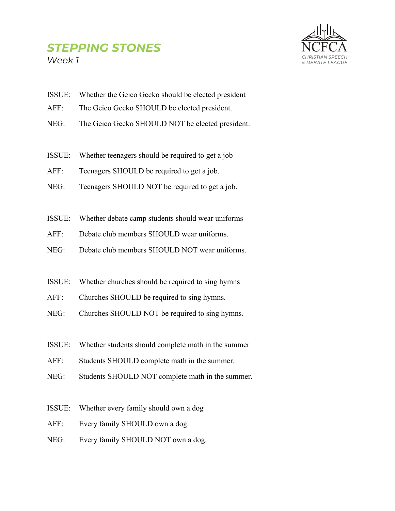## *STEPPING STONES Week 1*



- ISSUE: Whether the Geico Gecko should be elected president
- AFF: The Geico Gecko SHOULD be elected president.
- NEG: The Geico Gecko SHOULD NOT be elected president.
- ISSUE: Whether teenagers should be required to get a job
- AFF: Teenagers SHOULD be required to get a job.
- NEG: Teenagers SHOULD NOT be required to get a job.
- ISSUE: Whether debate camp students should wear uniforms
- AFF: Debate club members SHOULD wear uniforms.
- NEG: Debate club members SHOULD NOT wear uniforms.
- ISSUE: Whether churches should be required to sing hymns
- AFF: Churches SHOULD be required to sing hymns.
- NEG: Churches SHOULD NOT be required to sing hymns.
- ISSUE: Whether students should complete math in the summer
- AFF: Students SHOULD complete math in the summer.
- NEG: Students SHOULD NOT complete math in the summer.
- ISSUE: Whether every family should own a dog
- AFF: Every family SHOULD own a dog.
- NEG: Every family SHOULD NOT own a dog.